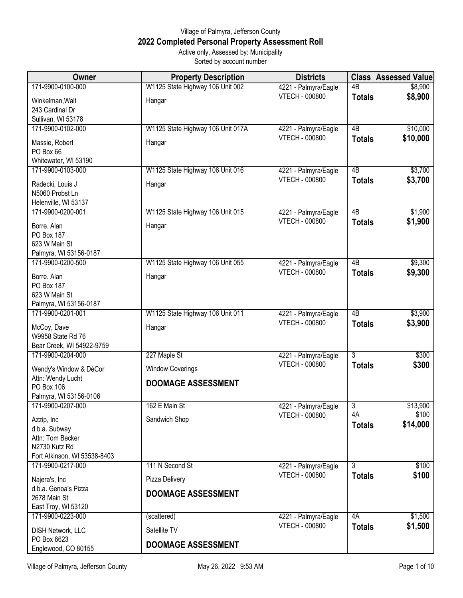## Village of Palmyra, Jefferson County **2022 Completed Personal Property Assessment Roll** Active only, Assessed by: Municipality

Sorted by account number

| Owner                                          | <b>Property Description</b>       | <b>Districts</b>                              | <b>Class</b>        | <b>Assessed Value</b> |
|------------------------------------------------|-----------------------------------|-----------------------------------------------|---------------------|-----------------------|
| 171-9900-0100-000                              | W1125 State Highway 106 Unit 002  | 4221 - Palmyra/Eagle                          | $\overline{AB}$     | \$8,900               |
| Winkelman, Walt                                | Hangar                            | <b>VTECH - 000800</b>                         | <b>Totals</b>       | \$8,900               |
| 243 Cardinal Dr                                |                                   |                                               |                     |                       |
| Sullivan, WI 53178<br>171-9900-0102-000        | W1125 State Highway 106 Unit 017A | 4221 - Palmyra/Eagle                          | $\overline{AB}$     | \$10,000              |
|                                                |                                   | <b>VTECH - 000800</b>                         | <b>Totals</b>       | \$10,000              |
| Massie, Robert<br>PO Box 66                    | Hangar                            |                                               |                     |                       |
| Whitewater, WI 53190                           |                                   |                                               |                     |                       |
| 171-9900-0103-000                              | W1125 State Highway 106 Unit 016  | 4221 - Palmyra/Eagle                          | 4B                  | \$3,700               |
| Radecki, Louis J                               | Hangar                            | <b>VTECH - 000800</b>                         | <b>Totals</b>       | \$3,700               |
| N5060 Probst Ln                                |                                   |                                               |                     |                       |
| Helenville, WI 53137<br>171-9900-0200-001      | W1125 State Highway 106 Unit 015  | 4221 - Palmyra/Eagle                          | $\overline{AB}$     | \$1,900               |
| Borre. Alan                                    | Hangar                            | <b>VTECH - 000800</b>                         | <b>Totals</b>       | \$1,900               |
| PO Box 187                                     |                                   |                                               |                     |                       |
| 623 W Main St                                  |                                   |                                               |                     |                       |
| Palmyra, WI 53156-0187                         |                                   |                                               |                     |                       |
| 171-9900-0200-500                              | W1125 State Highway 106 Unit 055  | 4221 - Palmyra/Eagle<br><b>VTECH - 000800</b> | 4B<br><b>Totals</b> | \$9,300<br>\$9,300    |
| Borre. Alan<br><b>PO Box 187</b>               | Hangar                            |                                               |                     |                       |
| 623 W Main St                                  |                                   |                                               |                     |                       |
| Palmyra, WI 53156-0187                         |                                   |                                               |                     |                       |
| 171-9900-0201-001                              | W1125 State Highway 106 Unit 011  | 4221 - Palmyra/Eagle<br><b>VTECH - 000800</b> | $\overline{AB}$     | \$3,900               |
| McCoy, Dave                                    | Hangar                            |                                               | <b>Totals</b>       | \$3,900               |
| W9958 State Rd 76<br>Bear Creek, WI 54922-9759 |                                   |                                               |                     |                       |
| 171-9900-0204-000                              | 227 Maple St                      | 4221 - Palmyra/Eagle                          | $\overline{3}$      | \$300                 |
| Wendy's Window & DéCor                         | <b>Window Coverings</b>           | <b>VTECH - 000800</b>                         | <b>Totals</b>       | \$300                 |
| Attn: Wendy Lucht                              | <b>DOOMAGE ASSESSMENT</b>         |                                               |                     |                       |
| PO Box 106                                     |                                   |                                               |                     |                       |
| Palmyra, WI 53156-0106<br>171-9900-0207-000    | 162 E Main St                     | 4221 - Palmyra/Eagle                          | $\overline{3}$      | \$13,900              |
| Azzip, Inc                                     | Sandwich Shop                     | <b>VTECH - 000800</b>                         | 4A                  | \$100                 |
| d.b.a. Subway                                  |                                   |                                               | <b>Totals</b>       | \$14,000              |
| Attn: Tom Becker                               |                                   |                                               |                     |                       |
| N2730 Kutz Rd<br>Fort Atkinson, WI 53538-8403  |                                   |                                               |                     |                       |
| 171-9900-0217-000                              | 111 N Second St                   | 4221 - Palmyra/Eagle                          | 3                   | \$100                 |
| Najera's, Inc                                  | Pizza Delivery                    | <b>VTECH - 000800</b>                         | <b>Totals</b>       | \$100                 |
| d.b.a. Genoa's Pizza                           | <b>DOOMAGE ASSESSMENT</b>         |                                               |                     |                       |
| 2678 Main St                                   |                                   |                                               |                     |                       |
| East Troy, WI 53120<br>171-9900-0223-000       | (scattered)                       | 4221 - Palmyra/Eagle                          | 4A                  | \$1,500               |
|                                                |                                   | <b>VTECH - 000800</b>                         | <b>Totals</b>       | \$1,500               |
| DISH Network, LLC<br>PO Box 6623               | Satellite TV                      |                                               |                     |                       |
| Englewood, CO 80155                            | <b>DOOMAGE ASSESSMENT</b>         |                                               |                     |                       |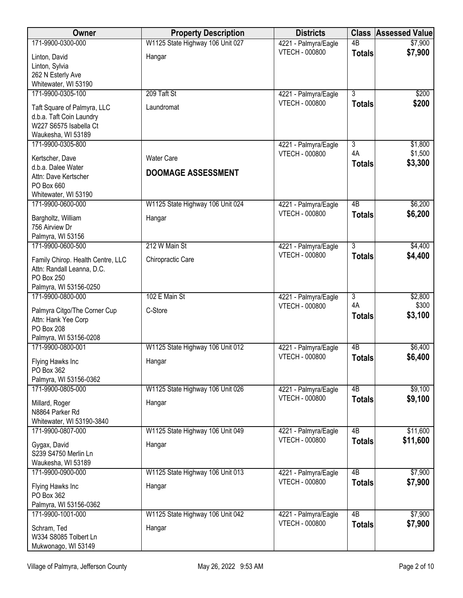| <b>Owner</b>                                            | <b>Property Description</b>      | <b>Districts</b>                       |                     | <b>Class Assessed Value</b> |
|---------------------------------------------------------|----------------------------------|----------------------------------------|---------------------|-----------------------------|
| 171-9900-0300-000                                       | W1125 State Highway 106 Unit 027 | 4221 - Palmyra/Eagle                   | $\overline{AB}$     | \$7,900                     |
| Linton, David                                           | Hangar                           | <b>VTECH - 000800</b>                  | <b>Totals</b>       | \$7,900                     |
| Linton, Sylvia                                          |                                  |                                        |                     |                             |
| 262 N Esterly Ave                                       |                                  |                                        |                     |                             |
| Whitewater, WI 53190<br>171-9900-0305-100               | 209 Taft St                      | 4221 - Palmyra/Eagle                   | $\overline{3}$      | \$200                       |
|                                                         |                                  | <b>VTECH - 000800</b>                  | <b>Totals</b>       | \$200                       |
| Taft Square of Palmyra, LLC<br>d.b.a. Taft Coin Laundry | Laundromat                       |                                        |                     |                             |
| W227 S6575 Isabella Ct                                  |                                  |                                        |                     |                             |
| Waukesha, WI 53189                                      |                                  |                                        |                     |                             |
| 171-9900-0305-800                                       |                                  | 4221 - Palmyra/Eagle                   | 3                   | \$1,800                     |
| Kertscher, Dave                                         | <b>Water Care</b>                | <b>VTECH - 000800</b>                  | 4A                  | \$1,500                     |
| d.b.a. Dalee Water                                      | <b>DOOMAGE ASSESSMENT</b>        |                                        | <b>Totals</b>       | \$3,300                     |
| Attn: Dave Kertscher                                    |                                  |                                        |                     |                             |
| PO Box 660<br>Whitewater, WI 53190                      |                                  |                                        |                     |                             |
| 171-9900-0600-000                                       | W1125 State Highway 106 Unit 024 | 4221 - Palmyra/Eagle                   | 4B                  | \$6,200                     |
|                                                         |                                  | <b>VTECH - 000800</b>                  | <b>Totals</b>       | \$6,200                     |
| Bargholtz, William<br>756 Airview Dr                    | Hangar                           |                                        |                     |                             |
| Palmyra, WI 53156                                       |                                  |                                        |                     |                             |
| 171-9900-0600-500                                       | 212 W Main St                    | 4221 - Palmyra/Eagle                   | 3                   | \$4,400                     |
| Family Chirop. Health Centre, LLC                       | Chiropractic Care                | <b>VTECH - 000800</b>                  | <b>Totals</b>       | \$4,400                     |
| Attn: Randall Leanna, D.C.                              |                                  |                                        |                     |                             |
| PO Box 250                                              |                                  |                                        |                     |                             |
| Palmyra, WI 53156-0250<br>171-9900-0800-000             | 102 E Main St                    | 4221 - Palmyra/Eagle                   | $\overline{3}$      | \$2,800                     |
|                                                         |                                  | <b>VTECH - 000800</b>                  | 4A                  | \$300                       |
| Palmyra Citgo/The Corner Cup<br>Attn: Hank Yee Corp     | C-Store                          |                                        | <b>Totals</b>       | \$3,100                     |
| <b>PO Box 208</b>                                       |                                  |                                        |                     |                             |
| Palmyra, WI 53156-0208                                  |                                  |                                        |                     |                             |
| 171-9900-0800-001                                       | W1125 State Highway 106 Unit 012 | 4221 - Palmyra/Eagle                   | $\overline{AB}$     | \$6,400                     |
| Flying Hawks Inc                                        | Hangar                           | VTECH - 000800                         | <b>Totals</b>       | \$6,400                     |
| PO Box 362                                              |                                  |                                        |                     |                             |
| Palmyra, WI 53156-0362                                  |                                  |                                        |                     |                             |
| 171-9900-0805-000                                       | W1125 State Highway 106 Unit 026 | 4221 - Palmyra/Eagle<br>VTECH - 000800 | 4B<br><b>Totals</b> | \$9,100<br>\$9,100          |
| Millard, Roger                                          | Hangar                           |                                        |                     |                             |
| N8864 Parker Rd<br>Whitewater, WI 53190-3840            |                                  |                                        |                     |                             |
| 171-9900-0807-000                                       | W1125 State Highway 106 Unit 049 | 4221 - Palmyra/Eagle                   | 4B                  | \$11,600                    |
|                                                         |                                  | <b>VTECH - 000800</b>                  | <b>Totals</b>       | \$11,600                    |
| Gygax, David<br>S239 S4750 Merlin Ln                    | Hangar                           |                                        |                     |                             |
| Waukesha, WI 53189                                      |                                  |                                        |                     |                             |
| 171-9900-0900-000                                       | W1125 State Highway 106 Unit 013 | 4221 - Palmyra/Eagle                   | 4B                  | \$7,900                     |
| Flying Hawks Inc                                        | Hangar                           | <b>VTECH - 000800</b>                  | <b>Totals</b>       | \$7,900                     |
| PO Box 362                                              |                                  |                                        |                     |                             |
| Palmyra, WI 53156-0362                                  |                                  |                                        |                     |                             |
| 171-9900-1001-000                                       | W1125 State Highway 106 Unit 042 | 4221 - Palmyra/Eagle                   | $\overline{AB}$     | \$7,900                     |
| Schram, Ted                                             | Hangar                           | <b>VTECH - 000800</b>                  | <b>Totals</b>       | \$7,900                     |
| W334 S8085 Tolbert Ln                                   |                                  |                                        |                     |                             |
| Mukwonago, WI 53149                                     |                                  |                                        |                     |                             |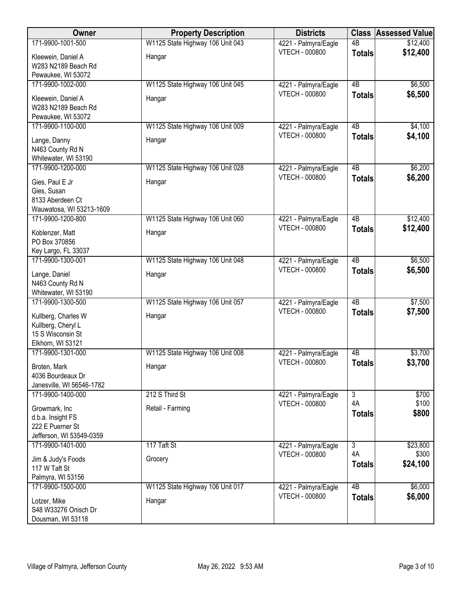| Owner                                   | <b>Property Description</b>      | <b>Districts</b>      | <b>Class</b>    | <b>Assessed Value</b> |
|-----------------------------------------|----------------------------------|-----------------------|-----------------|-----------------------|
| 171-9900-1001-500                       | W1125 State Highway 106 Unit 043 | 4221 - Palmyra/Eagle  | $\overline{AB}$ | \$12,400              |
| Kleewein, Daniel A                      | Hangar                           | VTECH - 000800        | <b>Totals</b>   | \$12,400              |
| W283 N2189 Beach Rd                     |                                  |                       |                 |                       |
| Pewaukee, WI 53072                      |                                  |                       |                 |                       |
| 171-9900-1002-000                       | W1125 State Highway 106 Unit 045 | 4221 - Palmyra/Eagle  | $\overline{AB}$ | \$6,500               |
| Kleewein, Daniel A                      | Hangar                           | <b>VTECH - 000800</b> | <b>Totals</b>   | \$6,500               |
| W283 N2189 Beach Rd                     |                                  |                       |                 |                       |
| Pewaukee, WI 53072                      |                                  |                       |                 |                       |
| 171-9900-1100-000                       | W1125 State Highway 106 Unit 009 | 4221 - Palmyra/Eagle  | 4B              | \$4,100               |
| Lange, Danny                            | Hangar                           | <b>VTECH - 000800</b> | <b>Totals</b>   | \$4,100               |
| N463 County Rd N                        |                                  |                       |                 |                       |
| Whitewater, WI 53190                    |                                  |                       |                 |                       |
| 171-9900-1200-000                       | W1125 State Highway 106 Unit 028 | 4221 - Palmyra/Eagle  | 4B              | \$6,200               |
| Gies, Paul E Jr                         | Hangar                           | <b>VTECH - 000800</b> | <b>Totals</b>   | \$6,200               |
| Gies, Susan                             |                                  |                       |                 |                       |
| 8133 Aberdeen Ct                        |                                  |                       |                 |                       |
| Wauwatosa, WI 53213-1609                |                                  |                       |                 |                       |
| 171-9900-1200-800                       | W1125 State Highway 106 Unit 060 | 4221 - Palmyra/Eagle  | $\overline{AB}$ | \$12,400              |
| Koblenzer, Matt                         | Hangar                           | <b>VTECH - 000800</b> | <b>Totals</b>   | \$12,400              |
| PO Box 370856                           |                                  |                       |                 |                       |
| Key Largo, FL 33037                     |                                  |                       |                 |                       |
| 171-9900-1300-001                       | W1125 State Highway 106 Unit 048 | 4221 - Palmyra/Eagle  | $\overline{AB}$ | \$6,500               |
|                                         |                                  | <b>VTECH - 000800</b> | <b>Totals</b>   | \$6,500               |
| Lange, Daniel<br>N463 County Rd N       | Hangar                           |                       |                 |                       |
| Whitewater, WI 53190                    |                                  |                       |                 |                       |
| 171-9900-1300-500                       | W1125 State Highway 106 Unit 057 | 4221 - Palmyra/Eagle  | $\overline{AB}$ | \$7,500               |
|                                         |                                  | VTECH - 000800        | <b>Totals</b>   | \$7,500               |
| Kullberg, Charles W                     | Hangar                           |                       |                 |                       |
| Kullberg, Cheryl L<br>15 S Wisconsin St |                                  |                       |                 |                       |
| Elkhorn, WI 53121                       |                                  |                       |                 |                       |
| 171-9900-1301-000                       | W1125 State Highway 106 Unit 008 | 4221 - Palmyra/Eagle  | $\overline{AB}$ | \$3,700               |
|                                         |                                  | <b>VTECH - 000800</b> | <b>Totals</b>   | \$3,700               |
| Broten, Mark<br>4036 Bourdeaux Dr       | Hangar                           |                       |                 |                       |
| Janesville, WI 56546-1782               |                                  |                       |                 |                       |
| 171-9900-1400-000                       | 212 S Third St                   | 4221 - Palmyra/Eagle  | $\overline{3}$  | \$700                 |
|                                         |                                  | <b>VTECH - 000800</b> | 4A              | \$100                 |
| Growmark, Inc                           | Retail - Farming                 |                       | <b>Totals</b>   | \$800                 |
| d.b.a. Insight FS<br>222 E Puerner St   |                                  |                       |                 |                       |
| Jefferson, WI 53549-0359                |                                  |                       |                 |                       |
| 171-9900-1401-000                       | 117 Taft St                      | 4221 - Palmyra/Eagle  | $\overline{3}$  | \$23,800              |
|                                         |                                  | <b>VTECH - 000800</b> | 4A              | \$300                 |
| Jim & Judy's Foods                      | Grocery                          |                       | <b>Totals</b>   | \$24,100              |
| 117 W Taft St<br>Palmyra, WI 53156      |                                  |                       |                 |                       |
| 171-9900-1500-000                       | W1125 State Highway 106 Unit 017 | 4221 - Palmyra/Eagle  | $\overline{AB}$ | \$6,000               |
|                                         |                                  | <b>VTECH - 000800</b> | <b>Totals</b>   | \$6,000               |
| Lotzer, Mike                            | Hangar                           |                       |                 |                       |
| S48 W33276 Onisch Dr                    |                                  |                       |                 |                       |
| Dousman, WI 53118                       |                                  |                       |                 |                       |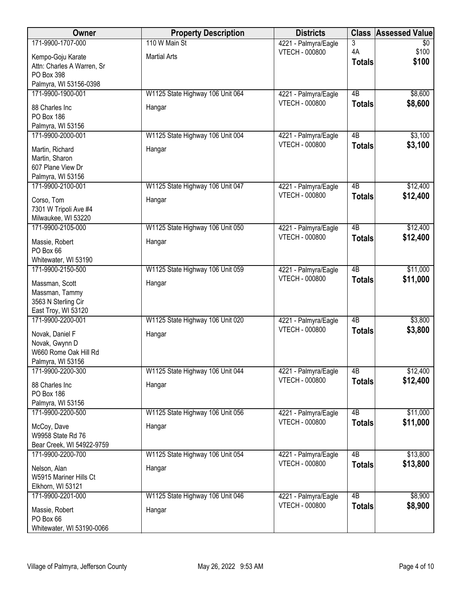| Owner                                        | <b>Property Description</b>      | <b>Districts</b>                              | <b>Class</b>    | <b>Assessed Value</b> |
|----------------------------------------------|----------------------------------|-----------------------------------------------|-----------------|-----------------------|
| 171-9900-1707-000                            | 110 W Main St                    | 4221 - Palmyra/Eagle                          | 3               | \$0                   |
| Kempo-Goju Karate                            | <b>Martial Arts</b>              | VTECH - 000800                                | 4A              | \$100                 |
| Attn: Charles A Warren, Sr                   |                                  |                                               | <b>Totals</b>   | \$100                 |
| PO Box 398                                   |                                  |                                               |                 |                       |
| Palmyra, WI 53156-0398                       |                                  |                                               |                 |                       |
| 171-9900-1900-001                            | W1125 State Highway 106 Unit 064 | 4221 - Palmyra/Eagle                          | $\overline{AB}$ | \$8,600               |
| 88 Charles Inc                               | Hangar                           | <b>VTECH - 000800</b>                         | <b>Totals</b>   | \$8,600               |
| <b>PO Box 186</b>                            |                                  |                                               |                 |                       |
| Palmyra, WI 53156                            |                                  |                                               |                 |                       |
| 171-9900-2000-001                            | W1125 State Highway 106 Unit 004 | 4221 - Palmyra/Eagle<br><b>VTECH - 000800</b> | 4B              | \$3,100               |
| Martin, Richard                              | Hangar                           |                                               | <b>Totals</b>   | \$3,100               |
| Martin, Sharon                               |                                  |                                               |                 |                       |
| 607 Plane View Dr                            |                                  |                                               |                 |                       |
| Palmyra, WI 53156<br>171-9900-2100-001       | W1125 State Highway 106 Unit 047 | 4221 - Palmyra/Eagle                          | 4B              | \$12,400              |
|                                              |                                  | <b>VTECH - 000800</b>                         | <b>Totals</b>   | \$12,400              |
| Corso, Tom                                   | Hangar                           |                                               |                 |                       |
| 7301 W Tripoli Ave #4<br>Milwaukee, WI 53220 |                                  |                                               |                 |                       |
| 171-9900-2105-000                            | W1125 State Highway 106 Unit 050 | 4221 - Palmyra/Eagle                          | $\overline{AB}$ | \$12,400              |
|                                              |                                  | <b>VTECH - 000800</b>                         | <b>Totals</b>   | \$12,400              |
| Massie, Robert                               | Hangar                           |                                               |                 |                       |
| PO Box 66<br>Whitewater, WI 53190            |                                  |                                               |                 |                       |
| 171-9900-2150-500                            | W1125 State Highway 106 Unit 059 | 4221 - Palmyra/Eagle                          | $\overline{AB}$ | \$11,000              |
|                                              |                                  | VTECH - 000800                                | <b>Totals</b>   | \$11,000              |
| Massman, Scott<br>Massman, Tammy             | Hangar                           |                                               |                 |                       |
| 3563 N Sterling Cir                          |                                  |                                               |                 |                       |
| East Troy, WI 53120                          |                                  |                                               |                 |                       |
| 171-9900-2200-001                            | W1125 State Highway 106 Unit 020 | 4221 - Palmyra/Eagle                          | 4B              | \$3,800               |
| Novak, Daniel F                              | Hangar                           | <b>VTECH - 000800</b>                         | <b>Totals</b>   | \$3,800               |
| Novak, Gwynn D                               |                                  |                                               |                 |                       |
| W660 Rome Oak Hill Rd                        |                                  |                                               |                 |                       |
| Palmyra, WI 53156                            |                                  |                                               |                 |                       |
| 171-9900-2200-300                            | W1125 State Highway 106 Unit 044 | 4221 - Palmyra/Eagle                          | 4B              | \$12,400              |
| 88 Charles Inc                               | Hangar                           | <b>VTECH - 000800</b>                         | <b>Totals</b>   | \$12,400              |
| PO Box 186                                   |                                  |                                               |                 |                       |
| Palmyra, WI 53156                            |                                  |                                               |                 |                       |
| 171-9900-2200-500                            | W1125 State Highway 106 Unit 056 | 4221 - Palmyra/Eagle                          | 4B              | \$11,000              |
| McCoy, Dave                                  | Hangar                           | <b>VTECH - 000800</b>                         | <b>Totals</b>   | \$11,000              |
| W9958 State Rd 76                            |                                  |                                               |                 |                       |
| Bear Creek, WI 54922-9759                    |                                  |                                               |                 |                       |
| 171-9900-2200-700                            | W1125 State Highway 106 Unit 054 | 4221 - Palmyra/Eagle                          | 4B              | \$13,800              |
| Nelson, Alan                                 | Hangar                           | <b>VTECH - 000800</b>                         | <b>Totals</b>   | \$13,800              |
| W5915 Mariner Hills Ct                       |                                  |                                               |                 |                       |
| Elkhorn, WI 53121                            |                                  |                                               |                 |                       |
| 171-9900-2201-000                            | W1125 State Highway 106 Unit 046 | 4221 - Palmyra/Eagle<br><b>VTECH - 000800</b> | $\overline{AB}$ | \$8,900<br>\$8,900    |
| Massie, Robert                               | Hangar                           |                                               | <b>Totals</b>   |                       |
| PO Box 66                                    |                                  |                                               |                 |                       |
| Whitewater, WI 53190-0066                    |                                  |                                               |                 |                       |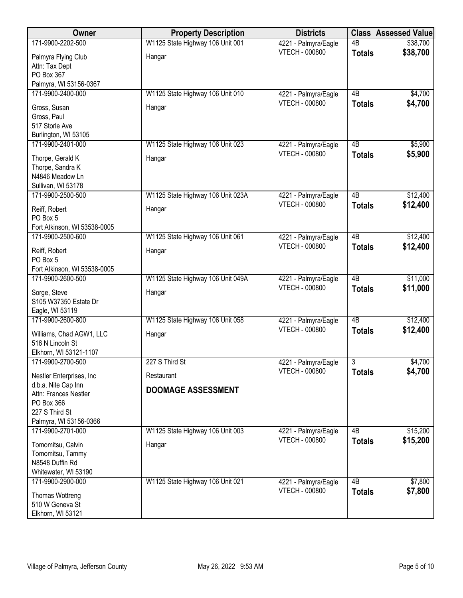| Owner                        | <b>Property Description</b>       | <b>Districts</b>                              | <b>Class</b>    | <b>Assessed Value</b> |
|------------------------------|-----------------------------------|-----------------------------------------------|-----------------|-----------------------|
| 171-9900-2202-500            | W1125 State Highway 106 Unit 001  | 4221 - Palmyra/Eagle                          | $\overline{AB}$ | \$38,700              |
| Palmyra Flying Club          | Hangar                            | VTECH - 000800                                | <b>Totals</b>   | \$38,700              |
| Attn: Tax Dept               |                                   |                                               |                 |                       |
| PO Box 367                   |                                   |                                               |                 |                       |
| Palmyra, WI 53156-0367       |                                   |                                               |                 |                       |
| 171-9900-2400-000            | W1125 State Highway 106 Unit 010  | 4221 - Palmyra/Eagle                          | 4B              | \$4,700               |
| Gross, Susan                 | Hangar                            | <b>VTECH - 000800</b>                         | <b>Totals</b>   | \$4,700               |
| Gross, Paul                  |                                   |                                               |                 |                       |
| 517 Storle Ave               |                                   |                                               |                 |                       |
| Burlington, WI 53105         |                                   |                                               |                 |                       |
| 171-9900-2401-000            | W1125 State Highway 106 Unit 023  | 4221 - Palmyra/Eagle                          | 4B              | \$5,900               |
| Thorpe, Gerald K             | Hangar                            | <b>VTECH - 000800</b>                         | <b>Totals</b>   | \$5,900               |
| Thorpe, Sandra K             |                                   |                                               |                 |                       |
| N4846 Meadow Ln              |                                   |                                               |                 |                       |
| Sullivan, WI 53178           |                                   |                                               |                 |                       |
| 171-9900-2500-500            | W1125 State Highway 106 Unit 023A | 4221 - Palmyra/Eagle                          | 4B              | \$12,400              |
| Reiff, Robert                | Hangar                            | <b>VTECH - 000800</b>                         | <b>Totals</b>   | \$12,400              |
| PO Box 5                     |                                   |                                               |                 |                       |
| Fort Atkinson, WI 53538-0005 |                                   |                                               |                 |                       |
| 171-9900-2500-600            | W1125 State Highway 106 Unit 061  | 4221 - Palmyra/Eagle                          | $\overline{AB}$ | \$12,400              |
| Reiff, Robert                | Hangar                            | <b>VTECH - 000800</b>                         | <b>Totals</b>   | \$12,400              |
| PO Box 5                     |                                   |                                               |                 |                       |
| Fort Atkinson, WI 53538-0005 |                                   |                                               |                 |                       |
| 171-9900-2600-500            | W1125 State Highway 106 Unit 049A | 4221 - Palmyra/Eagle                          | $\overline{AB}$ | \$11,000              |
| Sorge, Steve                 | Hangar                            | <b>VTECH - 000800</b>                         | <b>Totals</b>   | \$11,000              |
| S105 W37350 Estate Dr        |                                   |                                               |                 |                       |
| Eagle, WI 53119              |                                   |                                               |                 |                       |
| 171-9900-2600-800            | W1125 State Highway 106 Unit 058  | 4221 - Palmyra/Eagle                          | $\overline{AB}$ | \$12,400              |
| Williams, Chad AGW1, LLC     | Hangar                            | <b>VTECH - 000800</b>                         | <b>Totals</b>   | \$12,400              |
| 516 N Lincoln St             |                                   |                                               |                 |                       |
| Elkhorn, WI 53121-1107       |                                   |                                               |                 |                       |
| 171-9900-2700-500            | 227 S Third St                    | 4221 - Palmyra/Eagle                          | 3               | \$4,700               |
| Nestler Enterprises, Inc.    | Restaurant                        | <b>VTECH - 000800</b>                         | <b>Totals</b>   | \$4,700               |
| d.b.a. Nite Cap Inn          |                                   |                                               |                 |                       |
| Attn: Frances Nestler        | <b>DOOMAGE ASSESSMENT</b>         |                                               |                 |                       |
| PO Box 366                   |                                   |                                               |                 |                       |
| 227 S Third St               |                                   |                                               |                 |                       |
| Palmyra, WI 53156-0366       |                                   |                                               |                 |                       |
| 171-9900-2701-000            | W1125 State Highway 106 Unit 003  | 4221 - Palmyra/Eagle                          | 4 <sub>B</sub>  | \$15,200              |
| Tomomitsu, Calvin            | Hangar                            | <b>VTECH - 000800</b>                         | <b>Totals</b>   | \$15,200              |
| Tomomitsu, Tammy             |                                   |                                               |                 |                       |
| N8548 Duffin Rd              |                                   |                                               |                 |                       |
| Whitewater, WI 53190         |                                   |                                               |                 |                       |
| 171-9900-2900-000            | W1125 State Highway 106 Unit 021  | 4221 - Palmyra/Eagle<br><b>VTECH - 000800</b> | 4B              | \$7,800               |
| Thomas Wottreng              |                                   |                                               | <b>Totals</b>   | \$7,800               |
| 510 W Geneva St              |                                   |                                               |                 |                       |
| Elkhorn, WI 53121            |                                   |                                               |                 |                       |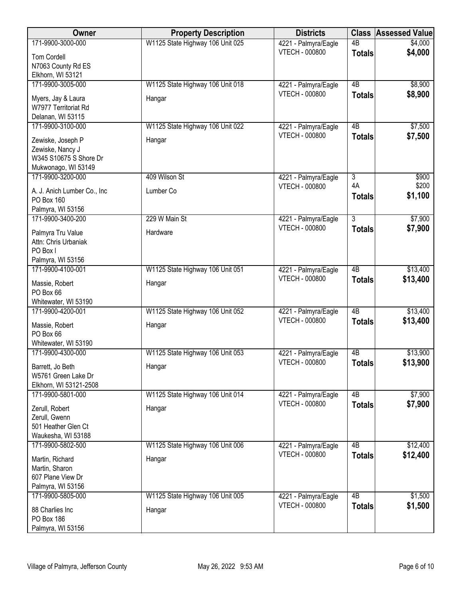| Owner                       | <b>Property Description</b>      | <b>Districts</b>      | <b>Class</b>    | <b>Assessed Value</b> |
|-----------------------------|----------------------------------|-----------------------|-----------------|-----------------------|
| 171-9900-3000-000           | W1125 State Highway 106 Unit 025 | 4221 - Palmyra/Eagle  | $\overline{AB}$ | \$4,000               |
| <b>Tom Cordell</b>          |                                  | <b>VTECH - 000800</b> | <b>Totals</b>   | \$4,000               |
| N7063 County Rd ES          |                                  |                       |                 |                       |
| Elkhorn, WI 53121           |                                  |                       |                 |                       |
| 171-9900-3005-000           | W1125 State Highway 106 Unit 018 | 4221 - Palmyra/Eagle  | $\overline{AB}$ | \$8,900               |
| Myers, Jay & Laura          | Hangar                           | <b>VTECH - 000800</b> | <b>Totals</b>   | \$8,900               |
| W7977 Territoriat Rd        |                                  |                       |                 |                       |
| Delanan, WI 53115           |                                  |                       |                 |                       |
| 171-9900-3100-000           | W1125 State Highway 106 Unit 022 | 4221 - Palmyra/Eagle  | 4B              | \$7,500               |
| Zewiske, Joseph P           | Hangar                           | <b>VTECH - 000800</b> | <b>Totals</b>   | \$7,500               |
| Zewiske, Nancy J            |                                  |                       |                 |                       |
| W345 S10675 S Shore Dr      |                                  |                       |                 |                       |
| Mukwonago, WI 53149         |                                  |                       |                 |                       |
| 171-9900-3200-000           | 409 Wilson St                    | 4221 - Palmyra/Eagle  | $\overline{3}$  | \$900                 |
| A. J. Anich Lumber Co., Inc | Lumber Co                        | <b>VTECH - 000800</b> | 4A              | \$200                 |
| PO Box 160                  |                                  |                       | <b>Totals</b>   | \$1,100               |
| Palmyra, WI 53156           |                                  |                       |                 |                       |
| 171-9900-3400-200           | 229 W Main St                    | 4221 - Palmyra/Eagle  | $\overline{3}$  | \$7,900               |
| Palmyra Tru Value           | Hardware                         | <b>VTECH - 000800</b> | <b>Totals</b>   | \$7,900               |
| Attn: Chris Urbaniak        |                                  |                       |                 |                       |
| PO Box I                    |                                  |                       |                 |                       |
| Palmyra, WI 53156           |                                  |                       |                 |                       |
| 171-9900-4100-001           | W1125 State Highway 106 Unit 051 | 4221 - Palmyra/Eagle  | 4B              | \$13,400              |
| Massie, Robert              | Hangar                           | <b>VTECH - 000800</b> | <b>Totals</b>   | \$13,400              |
| PO Box 66                   |                                  |                       |                 |                       |
| Whitewater, WI 53190        |                                  |                       |                 |                       |
| 171-9900-4200-001           | W1125 State Highway 106 Unit 052 | 4221 - Palmyra/Eagle  | $\overline{AB}$ | \$13,400              |
| Massie, Robert              | Hangar                           | <b>VTECH - 000800</b> | <b>Totals</b>   | \$13,400              |
| PO Box 66                   |                                  |                       |                 |                       |
| Whitewater, WI 53190        |                                  |                       |                 |                       |
| 171-9900-4300-000           | W1125 State Highway 106 Unit 053 | 4221 - Palmyra/Eagle  | 4B              | \$13,900              |
| Barrett, Jo Beth            | Hangar                           | <b>VTECH - 000800</b> | <b>Totals</b>   | \$13,900              |
| W5761 Green Lake Dr         |                                  |                       |                 |                       |
| Elkhorn, WI 53121-2508      |                                  |                       |                 |                       |
| 171-9900-5801-000           | W1125 State Highway 106 Unit 014 | 4221 - Palmyra/Eagle  | 4B              | \$7,900               |
| Zerull, Robert              | Hangar                           | <b>VTECH - 000800</b> | <b>Totals</b>   | \$7,900               |
| Zerull, Gwenn               |                                  |                       |                 |                       |
| 501 Heather Glen Ct         |                                  |                       |                 |                       |
| Waukesha, WI 53188          |                                  |                       |                 |                       |
| 171-9900-5802-500           | W1125 State Highway 106 Unit 006 | 4221 - Palmyra/Eagle  | 4B              | \$12,400              |
| Martin, Richard             | Hangar                           | <b>VTECH - 000800</b> | <b>Totals</b>   | \$12,400              |
| Martin, Sharon              |                                  |                       |                 |                       |
| 607 Plane View Dr           |                                  |                       |                 |                       |
| Palmyra, WI 53156           |                                  |                       |                 |                       |
| 171-9900-5805-000           | W1125 State Highway 106 Unit 005 | 4221 - Palmyra/Eagle  | $\overline{AB}$ | \$1,500               |
| 88 Charlies Inc             | Hangar                           | <b>VTECH - 000800</b> | <b>Totals</b>   | \$1,500               |
| PO Box 186                  |                                  |                       |                 |                       |
| Palmyra, WI 53156           |                                  |                       |                 |                       |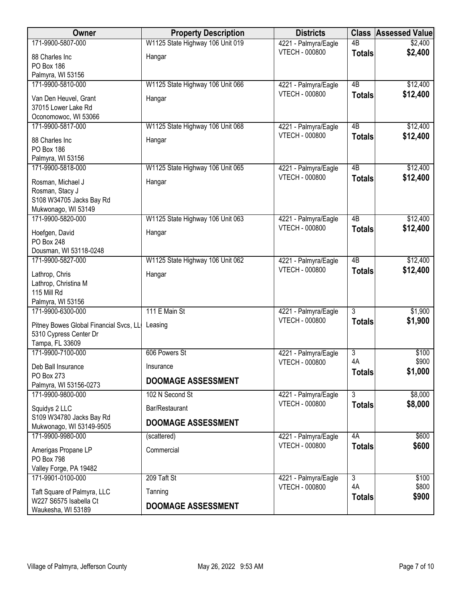| Owner                                                 | <b>Property Description</b>      | <b>Districts</b>                              | <b>Class</b>    | <b>Assessed Value</b> |
|-------------------------------------------------------|----------------------------------|-----------------------------------------------|-----------------|-----------------------|
| 171-9900-5807-000                                     | W1125 State Highway 106 Unit 019 | 4221 - Palmyra/Eagle                          | $\overline{AB}$ | \$2,400               |
| 88 Charles Inc                                        | Hangar                           | VTECH - 000800                                | <b>Totals</b>   | \$2,400               |
| <b>PO Box 186</b>                                     |                                  |                                               |                 |                       |
| Palmyra, WI 53156<br>171-9900-5810-000                |                                  |                                               | 4B              | \$12,400              |
|                                                       | W1125 State Highway 106 Unit 066 | 4221 - Palmyra/Eagle<br><b>VTECH - 000800</b> | <b>Totals</b>   | \$12,400              |
| Van Den Heuvel, Grant                                 | Hangar                           |                                               |                 |                       |
| 37015 Lower Lake Rd<br>Oconomowoc, WI 53066           |                                  |                                               |                 |                       |
| 171-9900-5817-000                                     | W1125 State Highway 106 Unit 068 | 4221 - Palmyra/Eagle                          | 4B              | \$12,400              |
| 88 Charles Inc                                        | Hangar                           | <b>VTECH - 000800</b>                         | <b>Totals</b>   | \$12,400              |
| <b>PO Box 186</b>                                     |                                  |                                               |                 |                       |
| Palmyra, WI 53156                                     |                                  |                                               |                 |                       |
| 171-9900-5818-000                                     | W1125 State Highway 106 Unit 065 | 4221 - Palmyra/Eagle                          | 4B              | \$12,400              |
| Rosman, Michael J                                     | Hangar                           | <b>VTECH - 000800</b>                         | <b>Totals</b>   | \$12,400              |
| Rosman, Stacy J                                       |                                  |                                               |                 |                       |
| S108 W34705 Jacks Bay Rd                              |                                  |                                               |                 |                       |
| Mukwonago, WI 53149<br>171-9900-5820-000              |                                  |                                               | 4B              |                       |
|                                                       | W1125 State Highway 106 Unit 063 | 4221 - Palmyra/Eagle<br><b>VTECH - 000800</b> | <b>Totals</b>   | \$12,400<br>\$12,400  |
| Hoefgen, David                                        | Hangar                           |                                               |                 |                       |
| PO Box 248<br>Dousman, WI 53118-0248                  |                                  |                                               |                 |                       |
| 171-9900-5827-000                                     | W1125 State Highway 106 Unit 062 | 4221 - Palmyra/Eagle                          | 4B              | \$12,400              |
| Lathrop, Chris                                        | Hangar                           | <b>VTECH - 000800</b>                         | <b>Totals</b>   | \$12,400              |
| Lathrop, Christina M                                  |                                  |                                               |                 |                       |
| 115 Mill Rd                                           |                                  |                                               |                 |                       |
| Palmyra, WI 53156                                     |                                  |                                               |                 |                       |
| 171-9900-6300-000                                     | 111 E Main St                    | 4221 - Palmyra/Eagle                          | $\overline{3}$  | \$1,900               |
| Pitney Bowes Global Financial Svcs, LL                | Leasing                          | VTECH - 000800                                | <b>Totals</b>   | \$1,900               |
| 5310 Cypress Center Dr                                |                                  |                                               |                 |                       |
| Tampa, FL 33609<br>171-9900-7100-000                  | 606 Powers St                    | 4221 - Palmyra/Eagle                          | $\overline{3}$  | \$100                 |
|                                                       |                                  | <b>VTECH - 000800</b>                         | 4A              | \$900                 |
| Deb Ball Insurance<br>PO Box 273                      | Insurance                        |                                               | <b>Totals</b>   | \$1,000               |
| Palmyra, WI 53156-0273                                | <b>DOOMAGE ASSESSMENT</b>        |                                               |                 |                       |
| 171-9900-9800-000                                     | 102 N Second St                  | 4221 - Palmyra/Eagle                          | $\overline{3}$  | \$8,000               |
| Squidys 2 LLC                                         | Bar/Restaurant                   | <b>VTECH - 000800</b>                         | <b>Totals</b>   | \$8,000               |
| S109 W34780 Jacks Bay Rd                              | <b>DOOMAGE ASSESSMENT</b>        |                                               |                 |                       |
| Mukwonago, WI 53149-9505                              |                                  |                                               |                 |                       |
| 171-9900-9980-000                                     | (scattered)                      | 4221 - Palmyra/Eagle<br><b>VTECH - 000800</b> | 4A              | \$600                 |
| Amerigas Propane LP                                   | Commercial                       |                                               | <b>Totals</b>   | \$600                 |
| PO Box 798                                            |                                  |                                               |                 |                       |
| Valley Forge, PA 19482<br>171-9901-0100-000           | 209 Taft St                      | 4221 - Palmyra/Eagle                          | $\overline{3}$  | \$100                 |
|                                                       |                                  | <b>VTECH - 000800</b>                         | 4A              | \$800                 |
| Taft Square of Palmyra, LLC<br>W227 S6575 Isabella Ct | Tanning                          |                                               | <b>Totals</b>   | \$900                 |
| Waukesha, WI 53189                                    | <b>DOOMAGE ASSESSMENT</b>        |                                               |                 |                       |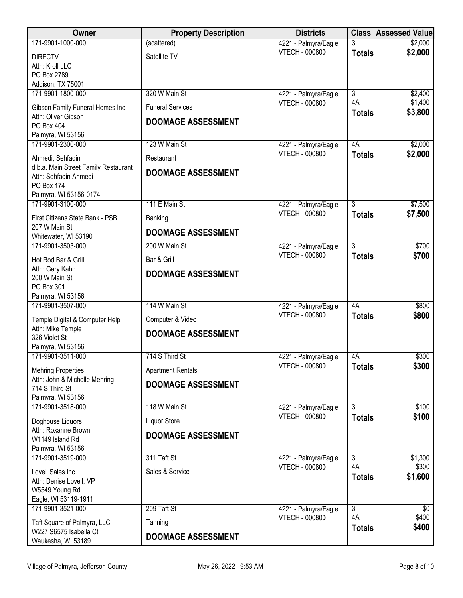| <b>Owner</b>                                             | <b>Property Description</b> | <b>Districts</b>                              |                | <b>Class Assessed Value</b> |
|----------------------------------------------------------|-----------------------------|-----------------------------------------------|----------------|-----------------------------|
| 171-9901-1000-000                                        | (scattered)                 | 4221 - Palmyra/Eagle                          | 3              | \$2,000                     |
| <b>DIRECTV</b>                                           | Satellite TV                | <b>VTECH - 000800</b>                         | <b>Totals</b>  | \$2,000                     |
| Attn: Kroll LLC                                          |                             |                                               |                |                             |
| PO Box 2789<br>Addison, TX 75001                         |                             |                                               |                |                             |
| 171-9901-1800-000                                        | 320 W Main St               | 4221 - Palmyra/Eagle                          | 3              | \$2,400                     |
| Gibson Family Funeral Homes Inc                          | <b>Funeral Services</b>     | <b>VTECH - 000800</b>                         | 4A             | \$1,400                     |
| Attn: Oliver Gibson                                      | <b>DOOMAGE ASSESSMENT</b>   |                                               | <b>Totals</b>  | \$3,800                     |
| PO Box 404                                               |                             |                                               |                |                             |
| Palmyra, WI 53156<br>171-9901-2300-000                   | 123 W Main St               | 4221 - Palmyra/Eagle                          | 4A             | \$2,000                     |
|                                                          |                             | <b>VTECH - 000800</b>                         | <b>Totals</b>  | \$2,000                     |
| Ahmedi, Sehfadin<br>d.b.a. Main Street Family Restaurant | Restaurant                  |                                               |                |                             |
| Attn: Sehfadin Ahmedi                                    | <b>DOOMAGE ASSESSMENT</b>   |                                               |                |                             |
| PO Box 174                                               |                             |                                               |                |                             |
| Palmyra, WI 53156-0174<br>171-9901-3100-000              | 111 E Main St               | 4221 - Palmyra/Eagle                          | $\overline{3}$ | \$7,500                     |
| First Citizens State Bank - PSB                          | Banking                     | <b>VTECH - 000800</b>                         | <b>Totals</b>  | \$7,500                     |
| 207 W Main St                                            |                             |                                               |                |                             |
| Whitewater, WI 53190                                     | <b>DOOMAGE ASSESSMENT</b>   |                                               |                |                             |
| 171-9901-3503-000                                        | 200 W Main St               | 4221 - Palmyra/Eagle                          | $\overline{3}$ | \$700                       |
| Hot Rod Bar & Grill                                      | Bar & Grill                 | <b>VTECH - 000800</b>                         | <b>Totals</b>  | \$700                       |
| Attn: Gary Kahn<br>200 W Main St                         | <b>DOOMAGE ASSESSMENT</b>   |                                               |                |                             |
| PO Box 301                                               |                             |                                               |                |                             |
| Palmyra, WI 53156                                        |                             |                                               |                |                             |
| 171-9901-3507-000                                        | 114 W Main St               | 4221 - Palmyra/Eagle<br><b>VTECH - 000800</b> | 4A             | \$800                       |
| Temple Digital & Computer Help                           | Computer & Video            |                                               | <b>Totals</b>  | \$800                       |
| Attn: Mike Temple<br>326 Violet St                       | <b>DOOMAGE ASSESSMENT</b>   |                                               |                |                             |
| Palmyra, WI 53156                                        |                             |                                               |                |                             |
| 171-9901-3511-000                                        | 714 S Third St              | 4221 - Palmyra/Eagle                          | 4A             | \$300                       |
| <b>Mehring Properties</b>                                | <b>Apartment Rentals</b>    | <b>VTECH - 000800</b>                         | <b>Totals</b>  | \$300                       |
| Attn: John & Michelle Mehring                            | <b>DOOMAGE ASSESSMENT</b>   |                                               |                |                             |
| 714 S Third St<br>Palmyra, WI 53156                      |                             |                                               |                |                             |
| 171-9901-3518-000                                        | 118 W Main St               | 4221 - Palmyra/Eagle                          | $\overline{3}$ | \$100                       |
| Doghouse Liquors                                         | Liquor Store                | <b>VTECH - 000800</b>                         | <b>Totals</b>  | \$100                       |
| Attn: Roxanne Brown                                      | <b>DOOMAGE ASSESSMENT</b>   |                                               |                |                             |
| W1149 Island Rd<br>Palmyra, WI 53156                     |                             |                                               |                |                             |
| 171-9901-3519-000                                        | 311 Taft St                 | 4221 - Palmyra/Eagle                          | $\overline{3}$ | \$1,300                     |
| Lovell Sales Inc                                         | Sales & Service             | <b>VTECH - 000800</b>                         | 4A             | \$300                       |
| Attn: Denise Lovell, VP                                  |                             |                                               | <b>Totals</b>  | \$1,600                     |
| W5549 Young Rd                                           |                             |                                               |                |                             |
| Eagle, WI 53119-1911<br>171-9901-3521-000                | 209 Taft St                 | 4221 - Palmyra/Eagle                          | $\overline{3}$ | $\overline{60}$             |
|                                                          |                             | <b>VTECH - 000800</b>                         | 4A             | \$400                       |
| Taft Square of Palmyra, LLC<br>W227 S6575 Isabella Ct    | Tanning                     |                                               | <b>Totals</b>  | \$400                       |
| Waukesha, WI 53189                                       | <b>DOOMAGE ASSESSMENT</b>   |                                               |                |                             |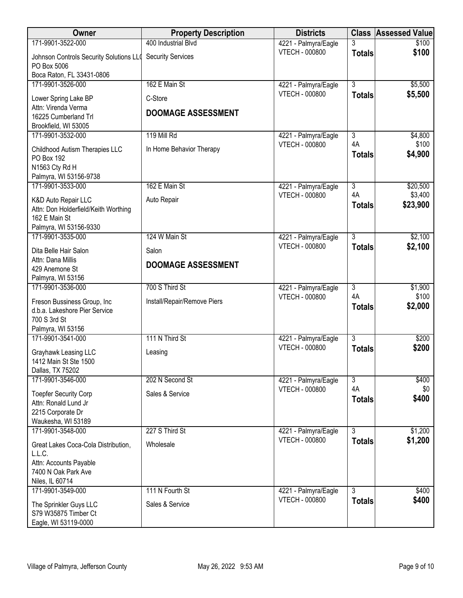| Owner                                                  | <b>Property Description</b> | <b>Districts</b>                              | <b>Class</b>   | <b>Assessed Value</b> |
|--------------------------------------------------------|-----------------------------|-----------------------------------------------|----------------|-----------------------|
| 171-9901-3522-000                                      | 400 Industrial Blvd         | 4221 - Palmyra/Eagle                          |                | \$100                 |
| Johnson Controls Security Solutions LLO<br>PO Box 5006 | <b>Security Services</b>    | <b>VTECH - 000800</b>                         | <b>Totals</b>  | \$100                 |
| Boca Raton, FL 33431-0806                              |                             |                                               |                |                       |
| 171-9901-3526-000                                      | 162 E Main St               | 4221 - Palmyra/Eagle<br><b>VTECH - 000800</b> | 3              | \$5,500               |
| Lower Spring Lake BP                                   | C-Store                     |                                               | <b>Totals</b>  | \$5,500               |
| Attn: Virenda Verma                                    | <b>DOOMAGE ASSESSMENT</b>   |                                               |                |                       |
| 16225 Cumberland Trl<br>Brookfield, WI 53005           |                             |                                               |                |                       |
| 171-9901-3532-000                                      | 119 Mill Rd                 | 4221 - Palmyra/Eagle                          | 3              | \$4,800               |
|                                                        |                             | <b>VTECH - 000800</b>                         | 4A             | \$100                 |
| Childhood Autism Therapies LLC<br>PO Box 192           | In Home Behavior Therapy    |                                               | <b>Totals</b>  | \$4,900               |
| N1563 Cty Rd H                                         |                             |                                               |                |                       |
| Palmyra, WI 53156-9738                                 |                             |                                               |                |                       |
| 171-9901-3533-000                                      | 162 E Main St               | 4221 - Palmyra/Eagle                          | $\overline{3}$ | \$20,500              |
| K&D Auto Repair LLC                                    | Auto Repair                 | <b>VTECH - 000800</b>                         | 4A             | \$3,400               |
| Attn: Don Holderfield/Keith Worthing                   |                             |                                               | <b>Totals</b>  | \$23,900              |
| 162 E Main St                                          |                             |                                               |                |                       |
| Palmyra, WI 53156-9330<br>171-9901-3535-000            | 124 W Main St               |                                               | $\overline{3}$ | \$2,100               |
|                                                        |                             | 4221 - Palmyra/Eagle<br><b>VTECH - 000800</b> | <b>Totals</b>  | \$2,100               |
| Dita Belle Hair Salon                                  | Salon                       |                                               |                |                       |
| Attn: Dana Millis<br>429 Anemone St                    | <b>DOOMAGE ASSESSMENT</b>   |                                               |                |                       |
| Palmyra, WI 53156                                      |                             |                                               |                |                       |
| 171-9901-3536-000                                      | 700 S Third St              | 4221 - Palmyra/Eagle                          | $\overline{3}$ | \$1,900               |
| Freson Bussiness Group, Inc                            | Install/Repair/Remove Piers | <b>VTECH - 000800</b>                         | 4A             | \$100                 |
| d.b.a. Lakeshore Pier Service                          |                             |                                               | <b>Totals</b>  | \$2,000               |
| 700 S 3rd St                                           |                             |                                               |                |                       |
| Palmyra, WI 53156<br>171-9901-3541-000                 | 111 N Third St              |                                               | $\overline{3}$ | \$200                 |
|                                                        |                             | 4221 - Palmyra/Eagle<br><b>VTECH - 000800</b> | <b>Totals</b>  | \$200                 |
| Grayhawk Leasing LLC                                   | Leasing                     |                                               |                |                       |
| 1412 Main St Ste 1500<br>Dallas, TX 75202              |                             |                                               |                |                       |
| 171-9901-3546-000                                      | 202 N Second St             | 4221 - Palmyra/Eagle                          | $\overline{3}$ | \$400                 |
| <b>Toepfer Security Corp</b>                           | Sales & Service             | <b>VTECH - 000800</b>                         | 4A             | \$0                   |
| Attn: Ronald Lund Jr                                   |                             |                                               | <b>Totals</b>  | \$400                 |
| 2215 Corporate Dr                                      |                             |                                               |                |                       |
| Waukesha, WI 53189                                     |                             |                                               |                |                       |
| 171-9901-3548-000                                      | 227 S Third St              | 4221 - Palmyra/Eagle                          | $\overline{3}$ | \$1,200               |
| Great Lakes Coca-Cola Distribution,                    | Wholesale                   | <b>VTECH - 000800</b>                         | <b>Totals</b>  | \$1,200               |
| L.L.C.                                                 |                             |                                               |                |                       |
| Attn: Accounts Payable<br>7400 N Oak Park Ave          |                             |                                               |                |                       |
| Niles, IL 60714                                        |                             |                                               |                |                       |
| 171-9901-3549-000                                      | 111 N Fourth St             | 4221 - Palmyra/Eagle                          | 3              | \$400                 |
| The Sprinkler Guys LLC                                 | Sales & Service             | <b>VTECH - 000800</b>                         | <b>Totals</b>  | \$400                 |
| S79 W35875 Timber Ct                                   |                             |                                               |                |                       |
| Eagle, WI 53119-0000                                   |                             |                                               |                |                       |